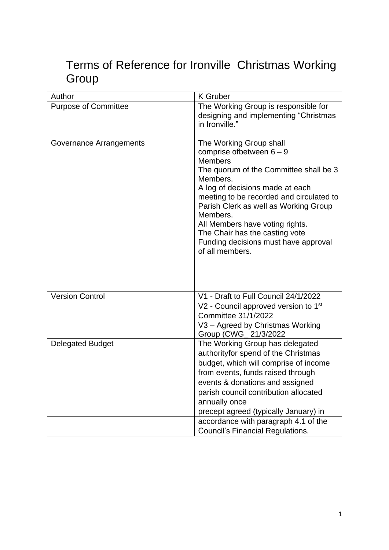## Terms of Reference for Ironville Christmas Working Group

| Author                      | <b>K</b> Gruber                                                                                                                                                                                                                                                                                                                                                                                    |
|-----------------------------|----------------------------------------------------------------------------------------------------------------------------------------------------------------------------------------------------------------------------------------------------------------------------------------------------------------------------------------------------------------------------------------------------|
| <b>Purpose of Committee</b> | The Working Group is responsible for<br>designing and implementing "Christmas<br>in Ironville."                                                                                                                                                                                                                                                                                                    |
| Governance Arrangements     | The Working Group shall<br>comprise of between $6 - 9$<br><b>Members</b><br>The quorum of the Committee shall be 3<br>Members.<br>A log of decisions made at each<br>meeting to be recorded and circulated to<br>Parish Clerk as well as Working Group<br>Members.<br>All Members have voting rights.<br>The Chair has the casting vote<br>Funding decisions must have approval<br>of all members. |
| <b>Version Control</b>      | V1 - Draft to Full Council 24/1/2022<br>V2 - Council approved version to 1 <sup>st</sup><br>Committee 31/1/2022<br>V3 - Agreed by Christmas Working<br>Group (CWG_21/3/2022)                                                                                                                                                                                                                       |
| <b>Delegated Budget</b>     | The Working Group has delegated<br>authorityfor spend of the Christmas<br>budget, which will comprise of income<br>from events, funds raised through<br>events & donations and assigned<br>parish council contribution allocated<br>annually once<br>precept agreed (typically January) in                                                                                                         |
|                             | accordance with paragraph 4.1 of the<br><b>Council's Financial Regulations.</b>                                                                                                                                                                                                                                                                                                                    |